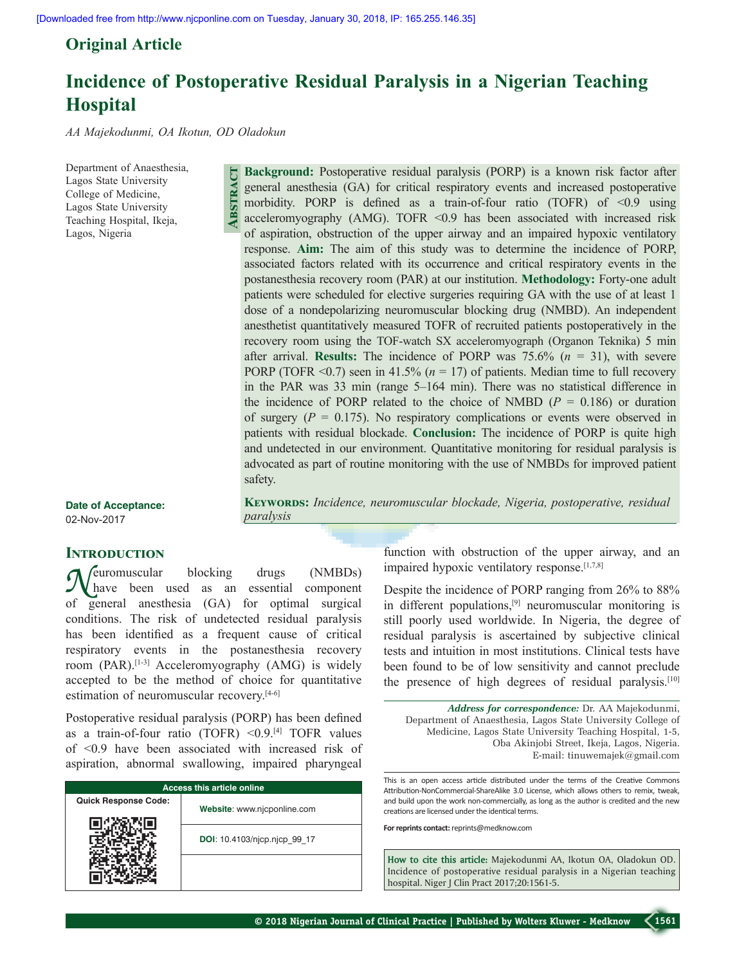**Abstract**

# **Original Article**

# **Incidence of Postoperative Residual Paralysis in a Nigerian Teaching Hospital**

*AA Majekodunmi, OA Ikotun, OD Oladokun*

Department of Anaesthesia, Lagos State University College of Medicine, Lagos State University Teaching Hospital, Ikeja, Lagos, Nigeria

**Background:** Postoperative residual paralysis (PORP) is a known risk factor after general anesthesia (GA) for critical respiratory events and increased postoperative morbidity. PORP is defined as a train-of-four ratio (TOFR) of  $\leq 0.9$  using acceleromyography (AMG). TOFR  $\leq 0.9$  has been associated with increased risk of aspiration, obstruction of the upper airway and an impaired hypoxic ventilatory response. **Aim:** The aim of this study was to determine the incidence of PORP, associated factors related with its occurrence and critical respiratory events in the postanesthesia recovery room (PAR) at our institution. **Methodology:** Forty‑one adult patients were scheduled for elective surgeries requiring GA with the use of at least 1 dose of a nondepolarizing neuromuscular blocking drug (NMBD). An independent anesthetist quantitatively measured TOFR of recruited patients postoperatively in the recovery room using the TOF-watch SX acceleromyograph (Organon Teknika) 5 min after arrival. **Results:** The incidence of PORP was 75.6% (*n* = 31), with severe PORP (TOFR  $\leq 0.7$ ) seen in 41.5% ( $n = 17$ ) of patients. Median time to full recovery in the PAR was 33 min (range 5–164 min). There was no statistical difference in the incidence of PORP related to the choice of NMBD ( $P = 0.186$ ) or duration of surgery  $(P = 0.175)$ . No respiratory complications or events were observed in patients with residual blockade. **Conclusion:** The incidence of PORP is quite high and undetected in our environment. Quantitative monitoring for residual paralysis is advocated as part of routine monitoring with the use of NMBDs for improved patient safety.

**Keywords:** *Incidence, neuromuscular blockade, Nigeria, postoperative, residual* 

**Date of Acceptance:** 02-Nov-2017

### **INTRODUCTION**

*Neuromuscular* blocking drugs (NMBDs)<br>have been used as an essential component of general anesthesia (GA) for optimal surgical conditions. The risk of undetected residual paralysis has been identified as a frequent cause of critical respiratory events in the postanesthesia recovery room (PAR).<sup>[1-3]</sup> Acceleromyography (AMG) is widely accepted to be the method of choice for quantitative estimation of neuromuscular recovery.<sup>[4-6]</sup>

*paralysis*

Postoperative residual paralysis (PORP) has been defined as a train-of-four ratio (TOFR) < $0.9$ .<sup>[4]</sup> TOFR values of <0.9 have been associated with increased risk of aspiration, abnormal swallowing, impaired pharyngeal

| <b>Access this article online</b> |                              |  |  |  |
|-----------------------------------|------------------------------|--|--|--|
| <b>Quick Response Code:</b>       | Website: www.njcponline.com  |  |  |  |
|                                   | DOI: 10.4103/njcp.njcp 99 17 |  |  |  |
|                                   |                              |  |  |  |

function with obstruction of the upper airway, and an impaired hypoxic ventilatory response.<sup>[1,7,8]</sup>

Despite the incidence of PORP ranging from 26% to 88% in different populations,[9] neuromuscular monitoring is still poorly used worldwide. In Nigeria, the degree of residual paralysis is ascertained by subjective clinical tests and intuition in most institutions. Clinical tests have been found to be of low sensitivity and cannot preclude the presence of high degrees of residual paralysis.[10]

*Address for correspondence:* Dr. AA Majekodunmi, Department of Anaesthesia, Lagos State University College of Medicine, Lagos State University Teaching Hospital, 1‑5, Oba Akinjobi Street, Ikeja, Lagos, Nigeria. E‑mail: tinuwemajek@gmail.com

This is an open access article distributed under the terms of the Creative Commons Attribution-NonCommercial-ShareAlike 3.0 License, which allows others to remix, tweak, and build upon the work non-commercially, as long as the author is credited and the new creations are licensed under the identical terms.

**For reprints contact:** reprints@medknow.com

**How to cite this article:** Majekodunmi AA, Ikotun OA, Oladokun OD. Incidence of postoperative residual paralysis in a Nigerian teaching hospital. Niger J Clin Pract 2017;20:1561-5.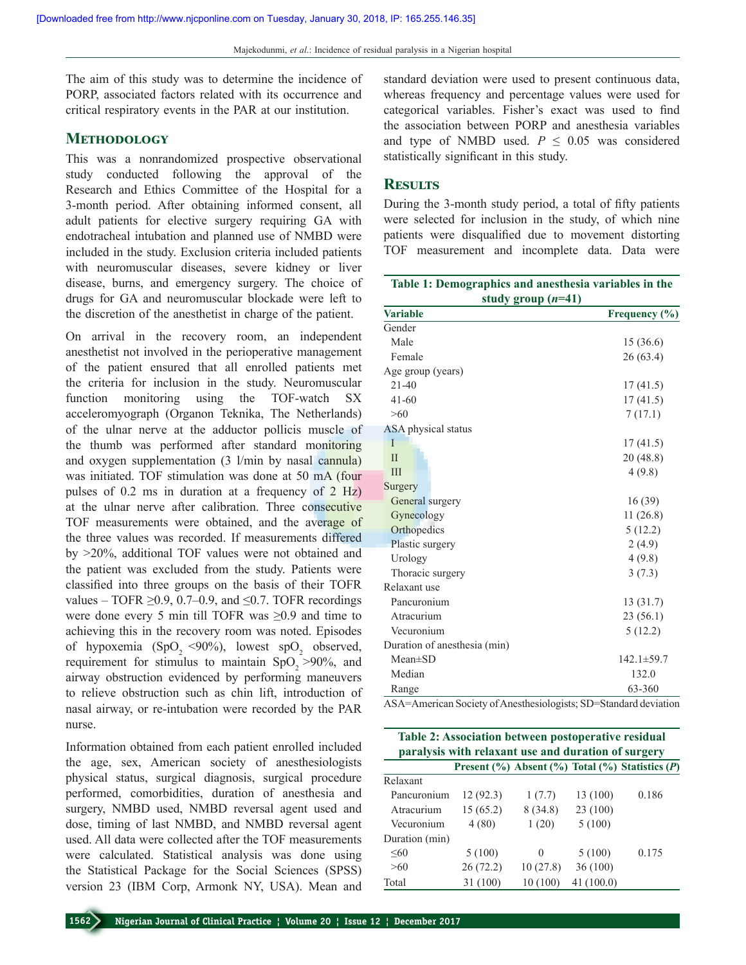The aim of this study was to determine the incidence of PORP, associated factors related with its occurrence and critical respiratory events in the PAR at our institution.

# **Methodology**

This was a nonrandomized prospective observational study conducted following the approval of the Research and Ethics Committee of the Hospital for a 3‑month period. After obtaining informed consent, all adult patients for elective surgery requiring GA with endotracheal intubation and planned use of NMBD were included in the study. Exclusion criteria included patients with neuromuscular diseases, severe kidney or liver disease, burns, and emergency surgery. The choice of drugs for GA and neuromuscular blockade were left to the discretion of the anesthetist in charge of the patient.

On arrival in the recovery room, an independent anesthetist not involved in the perioperative management of the patient ensured that all enrolled patients met the criteria for inclusion in the study. Neuromuscular function monitoring using the TOF-watch SX acceleromyograph (Organon Teknika, The Netherlands) of the ulnar nerve at the adductor pollicis muscle of the thumb was performed after standard monitoring and oxygen supplementation (3 l/min by nasal cannula) was initiated. TOF stimulation was done at 50 mA (four pulses of 0.2 ms in duration at a frequency of 2 Hz) at the ulnar nerve after calibration. Three consecutive TOF measurements were obtained, and the average of the three values was recorded. If measurements differed by >20%, additional TOF values were not obtained and the patient was excluded from the study. Patients were classified into three groups on the basis of their TOFR values – TOFR  $\geq 0.9$ , 0.7–0.9, and  $\leq 0.7$ . TOFR recordings were done every 5 min till TOFR was  $\geq 0.9$  and time to achieving this in the recovery room was noted. Episodes of hypoxemia  $(SpO<sub>2</sub> < 90%)$ , lowest  $spO<sub>2</sub>$  observed, requirement for stimulus to maintain  $SpO<sub>2</sub> >90%$ , and airway obstruction evidenced by performing maneuvers to relieve obstruction such as chin lift, introduction of nasal airway, or re‑intubation were recorded by the PAR nurse.

Information obtained from each patient enrolled included the age, sex, American society of anesthesiologists physical status, surgical diagnosis, surgical procedure performed, comorbidities, duration of anesthesia and surgery, NMBD used, NMBD reversal agent used and dose, timing of last NMBD, and NMBD reversal agent used. All data were collected after the TOF measurements were calculated. Statistical analysis was done using the Statistical Package for the Social Sciences (SPSS) version 23 (IBM Corp, Armonk NY, USA). Mean and standard deviation were used to present continuous data, whereas frequency and percentage values were used for categorical variables. Fisher's exact was used to find the association between PORP and anesthesia variables and type of NMBD used.  $P \leq 0.05$  was considered statistically significant in this study.

### **Results**

During the 3‑month study period, a total of fifty patients were selected for inclusion in the study, of which nine patients were disqualified due to movement distorting TOF measurement and incomplete data. Data were

| Table 1: Demographics and anesthesia variables in the<br>study group $(n=41)$                                                              |                   |  |  |  |
|--------------------------------------------------------------------------------------------------------------------------------------------|-------------------|--|--|--|
| <b>Variable</b>                                                                                                                            | Frequency $(\% )$ |  |  |  |
| Gender                                                                                                                                     |                   |  |  |  |
| Male                                                                                                                                       | 15(36.6)          |  |  |  |
| Female                                                                                                                                     | 26(63.4)          |  |  |  |
| Age group (years)                                                                                                                          |                   |  |  |  |
| $21 - 40$                                                                                                                                  | 17(41.5)          |  |  |  |
| $41 - 60$                                                                                                                                  | 17(41.5)          |  |  |  |
| >60                                                                                                                                        | 7(17.1)           |  |  |  |
| <b>ASA</b> physical status                                                                                                                 |                   |  |  |  |
| I                                                                                                                                          | 17(41.5)          |  |  |  |
| $\mathbf{I}$                                                                                                                               | 20(48.8)          |  |  |  |
| III                                                                                                                                        | 4(9.8)            |  |  |  |
| Surgery                                                                                                                                    |                   |  |  |  |
| General surgery                                                                                                                            | 16(39)            |  |  |  |
| Gynecology                                                                                                                                 | 11(26.8)          |  |  |  |
| Orthopedics                                                                                                                                | 5(12.2)           |  |  |  |
| Plastic surgery                                                                                                                            | 2(4.9)            |  |  |  |
| Urology                                                                                                                                    | 4(9.8)            |  |  |  |
| Thoracic surgery                                                                                                                           | 3(7.3)            |  |  |  |
| Relaxant use                                                                                                                               |                   |  |  |  |
| Pancuronium                                                                                                                                | 13(31.7)          |  |  |  |
| Atracurium                                                                                                                                 | 23(56.1)          |  |  |  |
| Vecuronium                                                                                                                                 | 5(12.2)           |  |  |  |
| Duration of anesthesia (min)                                                                                                               |                   |  |  |  |
| $Mean \pm SD$                                                                                                                              | $142.1 \pm 59.7$  |  |  |  |
| Median                                                                                                                                     | 132.0             |  |  |  |
| Range<br>$\Lambda$ $\Omega$ $\Lambda$ $ \Lambda$ moreon Society of $\Lambda$ not bounded coints: $\Omega$ $D$ - $\Omega$ top day deviation | 63-360            |  |  |  |

ASA=American Society of Anesthesiologists; SD=Standard deviation

| Table 2: Association between postoperative residual<br>paralysis with relaxant use and duration of surgery |          |          |           |                                                            |  |  |
|------------------------------------------------------------------------------------------------------------|----------|----------|-----------|------------------------------------------------------------|--|--|
|                                                                                                            |          |          |           | Present $(\%)$ Absent $(\%)$ Total $(\%)$ Statistics $(P)$ |  |  |
| Relaxant                                                                                                   |          |          |           |                                                            |  |  |
| Pancuronium                                                                                                | 12(92.3) | 1(7.7)   | 13 (100)  | 0.186                                                      |  |  |
| Atracurium                                                                                                 | 15(65.2) | 8(34.8)  | 23 (100)  |                                                            |  |  |
| Vecuronium                                                                                                 | 4(80)    | 1(20)    | 5(100)    |                                                            |  |  |
| Duration (min)                                                                                             |          |          |           |                                                            |  |  |
| $\leq 60$                                                                                                  | 5(100)   | $\theta$ | 5(100)    | 0.175                                                      |  |  |
| >60                                                                                                        | 26(72.2) | 10(27.8) | 36(100)   |                                                            |  |  |
| Total                                                                                                      | 31 (100) | 10(100)  | 41(100.0) |                                                            |  |  |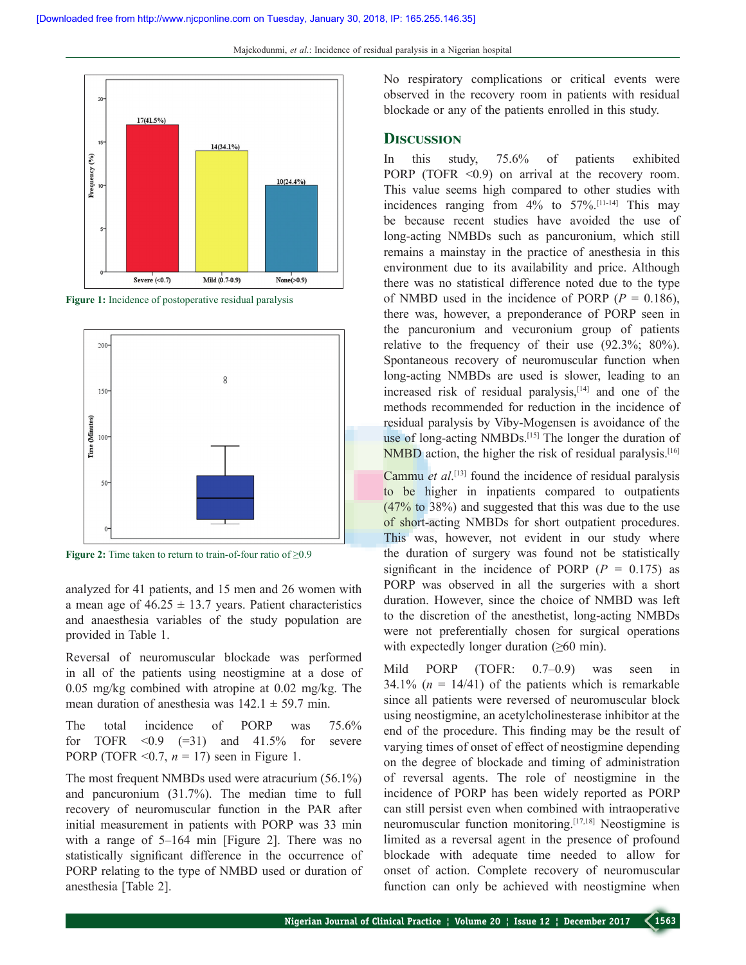Majekodunmi, *et al*.: Incidence of residual paralysis in a Nigerian hospital



**Figure 1:** Incidence of postoperative residual paralysis



**Figure 2:** Time taken to return to train-of-four ratio of ≥0.9

analyzed for 41 patients, and 15 men and 26 women with a mean age of  $46.25 \pm 13.7$  years. Patient characteristics and anaesthesia variables of the study population are provided in Table 1.

Reversal of neuromuscular blockade was performed in all of the patients using neostigmine at a dose of 0.05 mg/kg combined with atropine at 0.02 mg/kg. The mean duration of anesthesia was  $142.1 \pm 59.7$  min.

The total incidence of PORP was 75.6% for TOFR  $\leq 0.9$  (=31) and 41.5% for severe PORP (TOFR  $\leq 0.7$ ,  $n = 17$ ) seen in Figure 1.

The most frequent NMBDs used were atracurium (56.1%) and pancuronium (31.7%). The median time to full recovery of neuromuscular function in the PAR after initial measurement in patients with PORP was 33 min with a range of 5–164 min [Figure 2]. There was no statistically significant difference in the occurrence of PORP relating to the type of NMBD used or duration of anesthesia [Table 2].

No respiratory complications or critical events were observed in the recovery room in patients with residual blockade or any of the patients enrolled in this study.

# **Discussion**

In this study, 75.6% of patients exhibited PORP (TOFR  $\leq 0.9$ ) on arrival at the recovery room. This value seems high compared to other studies with incidences ranging from  $4\%$  to  $57\%$ . [11-14] This may be because recent studies have avoided the use of long‑acting NMBDs such as pancuronium, which still remains a mainstay in the practice of anesthesia in this environment due to its availability and price. Although there was no statistical difference noted due to the type of NMBD used in the incidence of PORP  $(P = 0.186)$ , there was, however, a preponderance of PORP seen in the pancuronium and vecuronium group of patients relative to the frequency of their use (92.3%; 80%). Spontaneous recovery of neuromuscular function when long-acting NMBDs are used is slower, leading to an increased risk of residual paralysis, $[14]$  and one of the methods recommended for reduction in the incidence of residual paralysis by Viby‑Mogensen is avoidance of the use of long-acting NMBDs.<sup>[15]</sup> The longer the duration of NMBD action, the higher the risk of residual paralysis.<sup>[16]</sup>

Cammu *et al*. [13] found the incidence of residual paralysis to be higher in inpatients compared to outpatients (47% to 38%) and suggested that this was due to the use of short-acting NMBDs for short outpatient procedures. This was, however, not evident in our study where the duration of surgery was found not be statistically significant in the incidence of PORP  $(P = 0.175)$  as PORP was observed in all the surgeries with a short duration. However, since the choice of NMBD was left to the discretion of the anesthetist, long-acting NMBDs were not preferentially chosen for surgical operations with expectedly longer duration  $(\geq 60 \text{ min})$ .

Mild PORP (TOFR: 0.7–0.9) was seen in 34.1%  $(n = 14/41)$  of the patients which is remarkable since all patients were reversed of neuromuscular block using neostigmine, an acetylcholinesterase inhibitor at the end of the procedure. This finding may be the result of varying times of onset of effect of neostigmine depending on the degree of blockade and timing of administration of reversal agents. The role of neostigmine in the incidence of PORP has been widely reported as PORP can still persist even when combined with intraoperative neuromuscular function monitoring.[17,18] Neostigmine is limited as a reversal agent in the presence of profound blockade with adequate time needed to allow for onset of action. Complete recovery of neuromuscular function can only be achieved with neostigmine when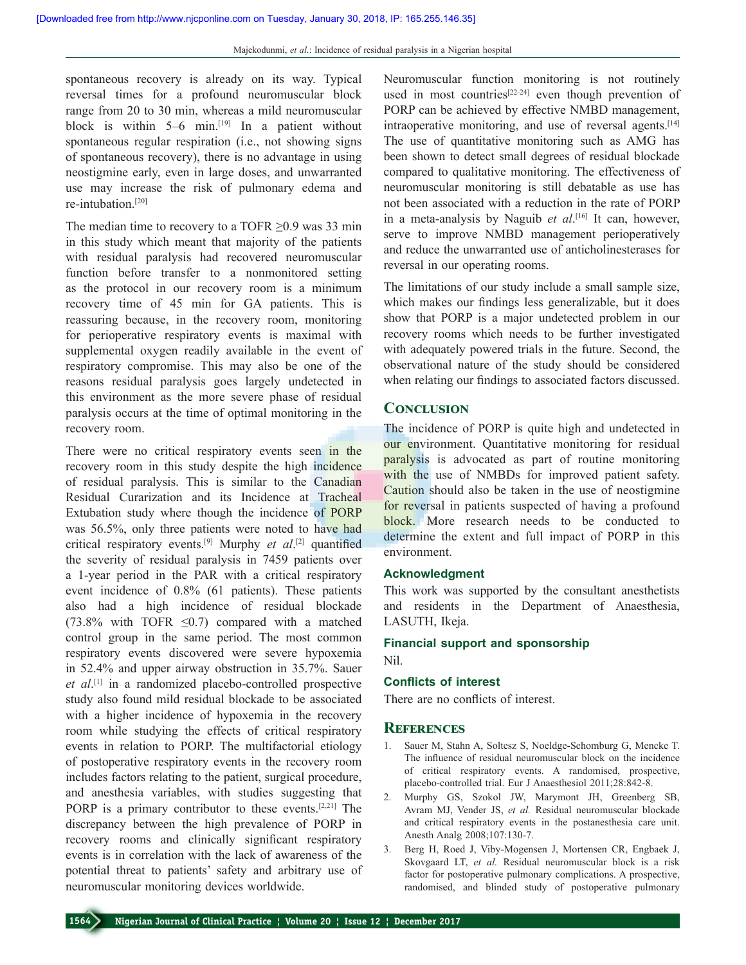spontaneous recovery is already on its way. Typical reversal times for a profound neuromuscular block range from 20 to 30 min, whereas a mild neuromuscular block is within  $5-6$  min.<sup>[19]</sup> In a patient without spontaneous regular respiration (i.e., not showing signs of spontaneous recovery), there is no advantage in using neostigmine early, even in large doses, and unwarranted use may increase the risk of pulmonary edema and re‑intubation.[20]

The median time to recovery to a TOFR  $\geq 0.9$  was 33 min in this study which meant that majority of the patients with residual paralysis had recovered neuromuscular function before transfer to a nonmonitored setting as the protocol in our recovery room is a minimum recovery time of 45 min for GA patients. This is reassuring because, in the recovery room, monitoring for perioperative respiratory events is maximal with supplemental oxygen readily available in the event of respiratory compromise. This may also be one of the reasons residual paralysis goes largely undetected in this environment as the more severe phase of residual paralysis occurs at the time of optimal monitoring in the recovery room.

There were no critical respiratory events seen in the recovery room in this study despite the high incidence of residual paralysis. This is similar to the Canadian Residual Curarization and its Incidence at Tracheal Extubation study where though the incidence of PORP was 56.5%, only three patients were noted to have had critical respiratory events.[9] Murphy *et al*. [2] quantified the severity of residual paralysis in 7459 patients over a 1‑year period in the PAR with a critical respiratory event incidence of 0.8% (61 patients). These patients also had a high incidence of residual blockade (73.8% with TOFR  $\leq$ 0.7) compared with a matched control group in the same period. The most common respiratory events discovered were severe hypoxemia in 52.4% and upper airway obstruction in 35.7%. Sauer *et al*. [1] in a randomized placebo‑controlled prospective study also found mild residual blockade to be associated with a higher incidence of hypoxemia in the recovery room while studying the effects of critical respiratory events in relation to PORP. The multifactorial etiology of postoperative respiratory events in the recovery room includes factors relating to the patient, surgical procedure, and anesthesia variables, with studies suggesting that PORP is a primary contributor to these events.<sup>[2,21]</sup> The discrepancy between the high prevalence of PORP in recovery rooms and clinically significant respiratory events is in correlation with the lack of awareness of the potential threat to patients' safety and arbitrary use of neuromuscular monitoring devices worldwide.

Neuromuscular function monitoring is not routinely used in most countries<sup>[22-24]</sup> even though prevention of PORP can be achieved by effective NMBD management, intraoperative monitoring, and use of reversal agents.<sup>[14]</sup> The use of quantitative monitoring such as AMG has been shown to detect small degrees of residual blockade compared to qualitative monitoring. The effectiveness of neuromuscular monitoring is still debatable as use has not been associated with a reduction in the rate of PORP in a meta‑analysis by Naguib *et al*. [16] It can, however, serve to improve NMBD management perioperatively and reduce the unwarranted use of anticholinesterases for reversal in our operating rooms.

The limitations of our study include a small sample size, which makes our findings less generalizable, but it does show that PORP is a major undetected problem in our recovery rooms which needs to be further investigated with adequately powered trials in the future. Second, the observational nature of the study should be considered when relating our findings to associated factors discussed.

#### **Conclusion**

The incidence of PORP is quite high and undetected in our environment. Quantitative monitoring for residual paralysis is advocated as part of routine monitoring with the use of NMBDs for improved patient safety. Caution should also be taken in the use of neostigmine for reversal in patients suspected of having a profound block. More research needs to be conducted to determine the extent and full impact of PORP in this environment.

#### **Acknowledgment**

This work was supported by the consultant anesthetists and residents in the Department of Anaesthesia, LASUTH, Ikeja.

### **Financial support and sponsorship** Nil.

#### **Conflicts of interest**

There are no conflicts of interest.

#### **References**

- 1. Sauer M, Stahn A, Soltesz S, Noeldge‑Schomburg G, Mencke T. The influence of residual neuromuscular block on the incidence of critical respiratory events. A randomised, prospective, placebo‑controlled trial. Eur J Anaesthesiol 2011;28:842‑8.
- 2. Murphy GS, Szokol JW, Marymont JH, Greenberg SB, Avram MJ, Vender JS, *et al.* Residual neuromuscular blockade and critical respiratory events in the postanesthesia care unit. Anesth Analg 2008;107:130-7.
- 3. Berg H, Roed J, Viby‑Mogensen J, Mortensen CR, Engbaek J, Skovgaard LT, *et al.* Residual neuromuscular block is a risk factor for postoperative pulmonary complications. A prospective, randomised, and blinded study of postoperative pulmonary